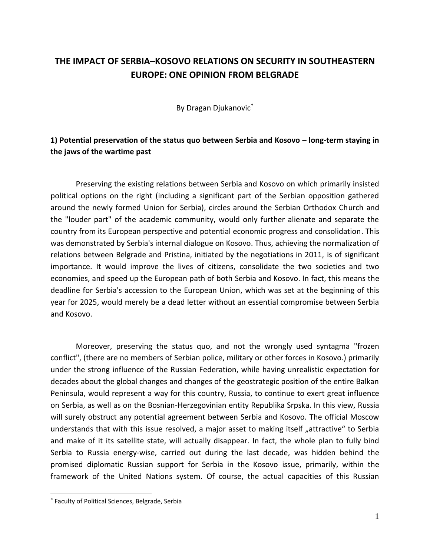## **THE IMPACT OF SERBIA–KOSOVO RELATIONS ON SECURITY IN SOUTHEASTERN EUROPE: ONE OPINION FROM BELGRADE**

By Dragan Djukanovic\*

## **1) Potential preservation of the status quo between Serbia and Kosovo – long-term staying in the jaws of the wartime past**

Preserving the existing relations between Serbia and Kosovo on which primarily insisted political options on the right (including a significant part of the Serbian opposition gathered around the newly formed Union for Serbia), circles around the Serbian Orthodox Church and the "louder part" of the academic community, would only further alienate and separate the country from its European perspective and potential economic progress and consolidation. This was demonstrated by Serbia's internal dialogue on Kosovo. Thus, achieving the normalization of relations between Belgrade and Pristina, initiated by the negotiations in 2011, is of significant importance. It would improve the lives of citizens, consolidate the two societies and two economies, and speed up the European path of both Serbia and Kosovo. In fact, this means the deadline for Serbia's accession to the European Union, which was set at the beginning of this year for 2025, would merely be a dead letter without an essential compromise between Serbia and Kosovo.

Moreover, preserving the status quo, and not the wrongly used syntagma "frozen conflict", (there are no members of Serbian police, military or other forces in Kosovo.) primarily under the strong influence of the Russian Federation, while having unrealistic expectation for decades about the global changes and changes of the geostrategic position of the entire Balkan Peninsula, would represent a way for this country, Russia, to continue to exert great influence on Serbia, as well as on the Bosnian-Herzegovinian entity Republika Srpska. In this view, Russia will surely obstruct any potential agreement between Serbia and Kosovo. The official Moscow understands that with this issue resolved, a major asset to making itself "attractive" to Serbia and make of it its satellite state, will actually disappear. In fact, the whole plan to fully bind Serbia to Russia energy-wise, carried out during the last decade, was hidden behind the promised diplomatic Russian support for Serbia in the Kosovo issue, primarily, within the framework of the United Nations system. Of course, the actual capacities of this Russian

<sup>\*</sup> Faculty of Political Sciences, Belgrade, Serbia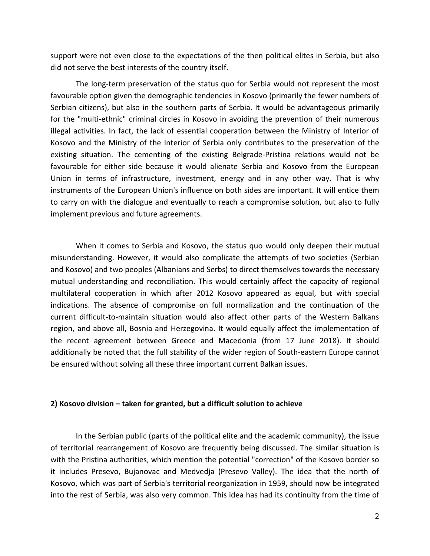support were not even close to the expectations of the then political elites in Serbia, but also did not serve the best interests of the country itself.

The long-term preservation of the status quo for Serbia would not represent the most favourable option given the demographic tendencies in Kosovo (primarily the fewer numbers of Serbian citizens), but also in the southern parts of Serbia. It would be advantageous primarily for the "multi-ethnic" criminal circles in Kosovo in avoiding the prevention of their numerous illegal activities. In fact, the lack of essential cooperation between the Ministry of Interior of Kosovo and the Ministry of the Interior of Serbia only contributes to the preservation of the existing situation. The cementing of the existing Belgrade-Pristina relations would not be favourable for either side because it would alienate Serbia and Kosovo from the European Union in terms of infrastructure, investment, energy and in any other way. That is why instruments of the European Union's influence on both sides are important. It will entice them to carry on with the dialogue and eventually to reach a compromise solution, but also to fully implement previous and future agreements.

When it comes to Serbia and Kosovo, the status quo would only deepen their mutual misunderstanding. However, it would also complicate the attempts of two societies (Serbian and Kosovo) and two peoples (Albanians and Serbs) to direct themselves towards the necessary mutual understanding and reconciliation. This would certainly affect the capacity of regional multilateral cooperation in which after 2012 Kosovo appeared as equal, but with special indications. The absence of compromise on full normalization and the continuation of the current difficult-to-maintain situation would also affect other parts of the Western Balkans region, and above all, Bosnia and Herzegovina. It would equally affect the implementation of the recent agreement between Greece and Macedonia (from 17 June 2018). It should additionally be noted that the full stability of the wider region of South-eastern Europe cannot be ensured without solving all these three important current Balkan issues.

## **2) Kosovo division – taken for granted, but a difficult solution to achieve**

In the Serbian public (parts of the political elite and the academic community), the issue of territorial rearrangement of Kosovo are frequently being discussed. The similar situation is with the Pristina authorities, which mention the potential "correction" of the Kosovo border so it includes Presevo, Bujanovac and Medvedja (Presevo Valley). The idea that the north of Kosovo, which was part of Serbia's territorial reorganization in 1959, should now be integrated into the rest of Serbia, was also very common. This idea has had its continuity from the time of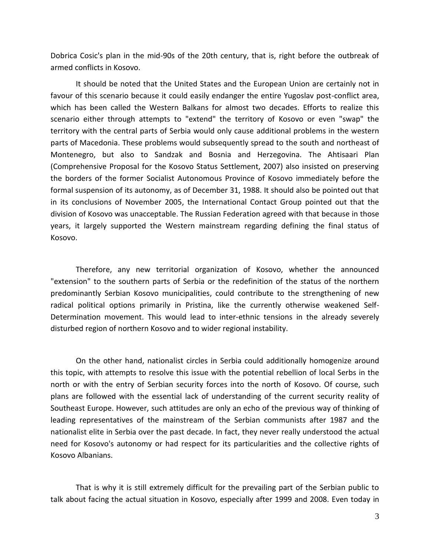Dobrica Cosic's plan in the mid-90s of the 20th century, that is, right before the outbreak of armed conflicts in Kosovo.

It should be noted that the United States and the European Union are certainly not in favour of this scenario because it could easily endanger the entire Yugoslav post-conflict area, which has been called the Western Balkans for almost two decades. Efforts to realize this scenario either through attempts to "extend" the territory of Kosovo or even "swap" the territory with the central parts of Serbia would only cause additional problems in the western parts of Macedonia. These problems would subsequently spread to the south and northeast of Montenegro, but also to Sandzak and Bosnia and Herzegovina. The Ahtisaari Plan (Comprehensive Proposal for the Kosovo Status Settlement, 2007) also insisted on preserving the borders of the former Socialist Autonomous Province of Kosovo immediately before the formal suspension of its autonomy, as of December 31, 1988. It should also be pointed out that in its conclusions of November 2005, the International Contact Group pointed out that the division of Kosovo was unacceptable. The Russian Federation agreed with that because in those years, it largely supported the Western mainstream regarding defining the final status of Kosovo.

Therefore, any new territorial organization of Kosovo, whether the announced "extension" to the southern parts of Serbia or the redefinition of the status of the northern predominantly Serbian Kosovo municipalities, could contribute to the strengthening of new radical political options primarily in Pristina, like the currently otherwise weakened Self-Determination movement. This would lead to inter-ethnic tensions in the already severely disturbed region of northern Kosovo and to wider regional instability.

On the other hand, nationalist circles in Serbia could additionally homogenize around this topic, with attempts to resolve this issue with the potential rebellion of local Serbs in the north or with the entry of Serbian security forces into the north of Kosovo. Of course, such plans are followed with the essential lack of understanding of the current security reality of Southeast Europe. However, such attitudes are only an echo of the previous way of thinking of leading representatives of the mainstream of the Serbian communists after 1987 and the nationalist elite in Serbia over the past decade. In fact, they never really understood the actual need for Kosovo's autonomy or had respect for its particularities and the collective rights of Kosovo Albanians.

That is why it is still extremely difficult for the prevailing part of the Serbian public to talk about facing the actual situation in Kosovo, especially after 1999 and 2008. Even today in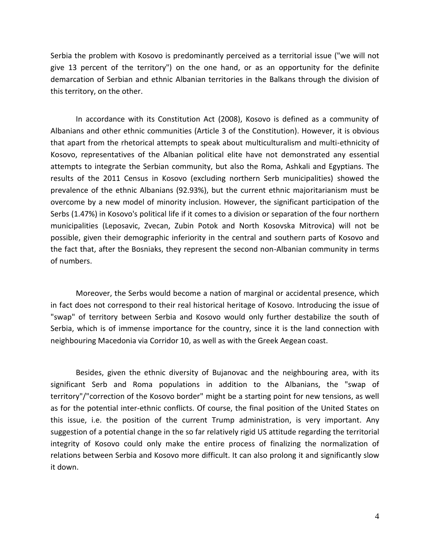Serbia the problem with Kosovo is predominantly perceived as a territorial issue ("we will not give 13 percent of the territory") on the one hand, or as an opportunity for the definite demarcation of Serbian and ethnic Albanian territories in the Balkans through the division of this territory, on the other.

In accordance with its Constitution Act (2008), Kosovo is defined as a community of Albanians and other ethnic communities (Article 3 of the Constitution). However, it is obvious that apart from the rhetorical attempts to speak about multiculturalism and multi-ethnicity of Kosovo, representatives of the Albanian political elite have not demonstrated any essential attempts to integrate the Serbian community, but also the Roma, Ashkali and Egyptians. The results of the 2011 Census in Kosovo (excluding northern Serb municipalities) showed the prevalence of the ethnic Albanians (92.93%), but the current ethnic majoritarianism must be overcome by a new model of minority inclusion. However, the significant participation of the Serbs (1.47%) in Kosovo's political life if it comes to a division or separation of the four northern municipalities (Leposavic, Zvecan, Zubin Potok and North Kosovska Mitrovica) will not be possible, given their demographic inferiority in the central and southern parts of Kosovo and the fact that, after the Bosniaks, they represent the second non-Albanian community in terms of numbers.

Moreover, the Serbs would become a nation of marginal or accidental presence, which in fact does not correspond to their real historical heritage of Kosovo. Introducing the issue of "swap" of territory between Serbia and Kosovo would only further destabilize the south of Serbia, which is of immense importance for the country, since it is the land connection with neighbouring Macedonia via Corridor 10, as well as with the Greek Aegean coast.

Besides, given the ethnic diversity of Bujanovac and the neighbouring area, with its significant Serb and Roma populations in addition to the Albanians, the "swap of territory"/"correction of the Kosovo border" might be a starting point for new tensions, as well as for the potential inter-ethnic conflicts. Of course, the final position of the United States on this issue, i.e. the position of the current Trump administration, is very important. Any suggestion of a potential change in the so far relatively rigid US attitude regarding the territorial integrity of Kosovo could only make the entire process of finalizing the normalization of relations between Serbia and Kosovo more difficult. It can also prolong it and significantly slow it down.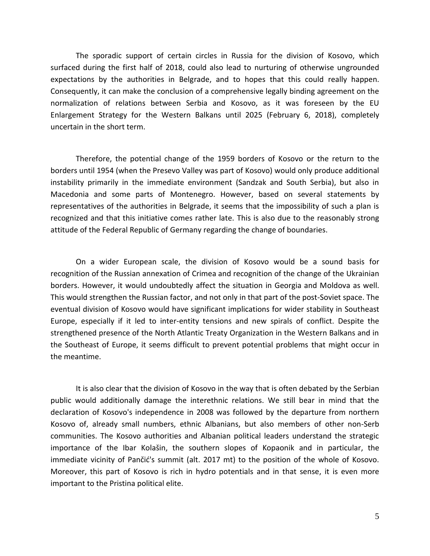The sporadic support of certain circles in Russia for the division of Kosovo, which surfaced during the first half of 2018, could also lead to nurturing of otherwise ungrounded expectations by the authorities in Belgrade, and to hopes that this could really happen. Consequently, it can make the conclusion of a comprehensive legally binding agreement on the normalization of relations between Serbia and Kosovo, as it was foreseen by the EU Enlargement Strategy for the Western Balkans until 2025 (February 6, 2018), completely uncertain in the short term.

Therefore, the potential change of the 1959 borders of Kosovo or the return to the borders until 1954 (when the Presevo Valley was part of Kosovo) would only produce additional instability primarily in the immediate environment (Sandzak and South Serbia), but also in Macedonia and some parts of Montenegro. However, based on several statements by representatives of the authorities in Belgrade, it seems that the impossibility of such a plan is recognized and that this initiative comes rather late. This is also due to the reasonably strong attitude of the Federal Republic of Germany regarding the change of boundaries.

On a wider European scale, the division of Kosovo would be a sound basis for recognition of the Russian annexation of Crimea and recognition of the change of the Ukrainian borders. However, it would undoubtedly affect the situation in Georgia and Moldova as well. This would strengthen the Russian factor, and not only in that part of the post-Soviet space. The eventual division of Kosovo would have significant implications for wider stability in Southeast Europe, especially if it led to inter-entity tensions and new spirals of conflict. Despite the strengthened presence of the North Atlantic Treaty Organization in the Western Balkans and in the Southeast of Europe, it seems difficult to prevent potential problems that might occur in the meantime.

It is also clear that the division of Kosovo in the way that is often debated by the Serbian public would additionally damage the interethnic relations. We still bear in mind that the declaration of Kosovo's independence in 2008 was followed by the departure from northern Kosovo of, already small numbers, ethnic Albanians, but also members of other non-Serb communities. The Kosovo authorities and Albanian political leaders understand the strategic importance of the Ibar Kolašin, the southern slopes of Kopaonik and in particular, the immediate vicinity of Pančić's summit (alt. 2017 mt) to the position of the whole of Kosovo. Moreover, this part of Kosovo is rich in hydro potentials and in that sense, it is even more important to the Pristina political elite.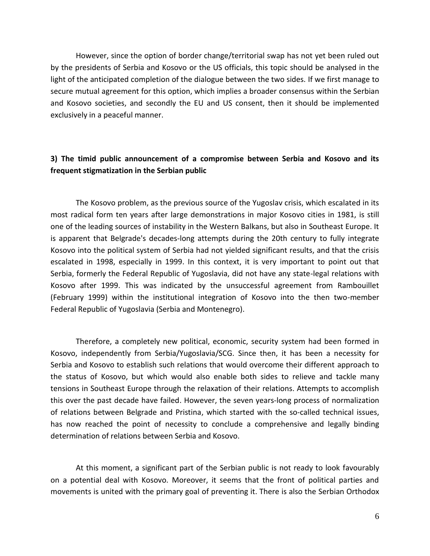However, since the option of border change/territorial swap has not yet been ruled out by the presidents of Serbia and Kosovo or the US officials, this topic should be analysed in the light of the anticipated completion of the dialogue between the two sides. If we first manage to secure mutual agreement for this option, which implies a broader consensus within the Serbian and Kosovo societies, and secondly the EU and US consent, then it should be implemented exclusively in a peaceful manner.

## **3) The timid public announcement of a compromise between Serbia and Kosovo and its frequent stigmatization in the Serbian public**

The Kosovo problem, as the previous source of the Yugoslav crisis, which escalated in its most radical form ten years after large demonstrations in major Kosovo cities in 1981, is still one of the leading sources of instability in the Western Balkans, but also in Southeast Europe. It is apparent that Belgrade's decades-long attempts during the 20th century to fully integrate Kosovo into the political system of Serbia had not yielded significant results, and that the crisis escalated in 1998, especially in 1999. In this context, it is very important to point out that Serbia, formerly the Federal Republic of Yugoslavia, did not have any state-legal relations with Kosovo after 1999. This was indicated by the unsuccessful agreement from Rambouillet (February 1999) within the institutional integration of Kosovo into the then two-member Federal Republic of Yugoslavia (Serbia and Montenegro).

Therefore, a completely new political, economic, security system had been formed in Kosovo, independently from Serbia/Yugoslavia/SCG. Since then, it has been a necessity for Serbia and Kosovo to establish such relations that would overcome their different approach to the status of Kosovo, but which would also enable both sides to relieve and tackle many tensions in Southeast Europe through the relaxation of their relations. Attempts to accomplish this over the past decade have failed. However, the seven years-long process of normalization of relations between Belgrade and Pristina, which started with the so-called technical issues, has now reached the point of necessity to conclude a comprehensive and legally binding determination of relations between Serbia and Kosovo.

At this moment, a significant part of the Serbian public is not ready to look favourably on a potential deal with Kosovo. Moreover, it seems that the front of political parties and movements is united with the primary goal of preventing it. There is also the Serbian Orthodox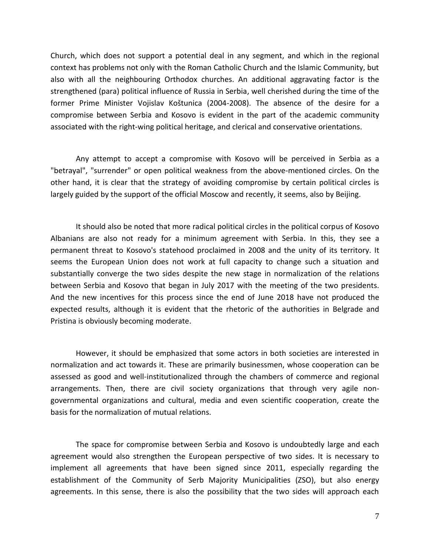Church, which does not support a potential deal in any segment, and which in the regional context has problems not only with the Roman Catholic Church and the Islamic Community, but also with all the neighbouring Orthodox churches. An additional aggravating factor is the strengthened (para) political influence of Russia in Serbia, well cherished during the time of the former Prime Minister Vojislav Koštunica (2004-2008). The absence of the desire for a compromise between Serbia and Kosovo is evident in the part of the academic community associated with the right-wing political heritage, and clerical and conservative orientations.

Any attempt to accept a compromise with Kosovo will be perceived in Serbia as a "betrayal", "surrender" or open political weakness from the above-mentioned circles. On the other hand, it is clear that the strategy of avoiding compromise by certain political circles is largely guided by the support of the official Moscow and recently, it seems, also by Beijing.

It should also be noted that more radical political circles in the political corpus of Kosovo Albanians are also not ready for a minimum agreement with Serbia. In this, they see a permanent threat to Kosovo's statehood proclaimed in 2008 and the unity of its territory. It seems the European Union does not work at full capacity to change such a situation and substantially converge the two sides despite the new stage in normalization of the relations between Serbia and Kosovo that began in July 2017 with the meeting of the two presidents. And the new incentives for this process since the end of June 2018 have not produced the expected results, although it is evident that the rhetoric of the authorities in Belgrade and Pristina is obviously becoming moderate.

However, it should be emphasized that some actors in both societies are interested in normalization and act towards it. These are primarily businessmen, whose cooperation can be assessed as good and well-institutionalized through the chambers of commerce and regional arrangements. Then, there are civil society organizations that through very agile nongovernmental organizations and cultural, media and even scientific cooperation, create the basis for the normalization of mutual relations.

The space for compromise between Serbia and Kosovo is undoubtedly large and each agreement would also strengthen the European perspective of two sides. It is necessary to implement all agreements that have been signed since 2011, especially regarding the establishment of the Community of Serb Majority Municipalities (ZSO), but also energy agreements. In this sense, there is also the possibility that the two sides will approach each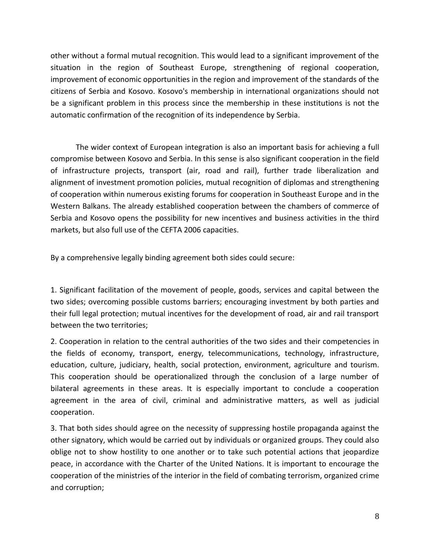other without a formal mutual recognition. This would lead to a significant improvement of the situation in the region of Southeast Europe, strengthening of regional cooperation, improvement of economic opportunities in the region and improvement of the standards of the citizens of Serbia and Kosovo. Kosovo's membership in international organizations should not be a significant problem in this process since the membership in these institutions is not the automatic confirmation of the recognition of its independence by Serbia.

The wider context of European integration is also an important basis for achieving a full compromise between Kosovo and Serbia. In this sense is also significant cooperation in the field of infrastructure projects, transport (air, road and rail), further trade liberalization and alignment of investment promotion policies, mutual recognition of diplomas and strengthening of cooperation within numerous existing forums for cooperation in Southeast Europe and in the Western Balkans. The already established cooperation between the chambers of commerce of Serbia and Kosovo opens the possibility for new incentives and business activities in the third markets, but also full use of the CEFTA 2006 capacities.

By a comprehensive legally binding agreement both sides could secure:

1. Significant facilitation of the movement of people, goods, services and capital between the two sides; overcoming possible customs barriers; encouraging investment by both parties and their full legal protection; mutual incentives for the development of road, air and rail transport between the two territories;

2. Cooperation in relation to the central authorities of the two sides and their competencies in the fields of economy, transport, energy, telecommunications, technology, infrastructure, education, culture, judiciary, health, social protection, environment, agriculture and tourism. This cooperation should be operationalized through the conclusion of a large number of bilateral agreements in these areas. It is especially important to conclude a cooperation agreement in the area of civil, criminal and administrative matters, as well as judicial cooperation.

3. That both sides should agree on the necessity of suppressing hostile propaganda against the other signatory, which would be carried out by individuals or organized groups. They could also oblige not to show hostility to one another or to take such potential actions that jeopardize peace, in accordance with the Charter of the United Nations. It is important to encourage the cooperation of the ministries of the interior in the field of combating terrorism, organized crime and corruption;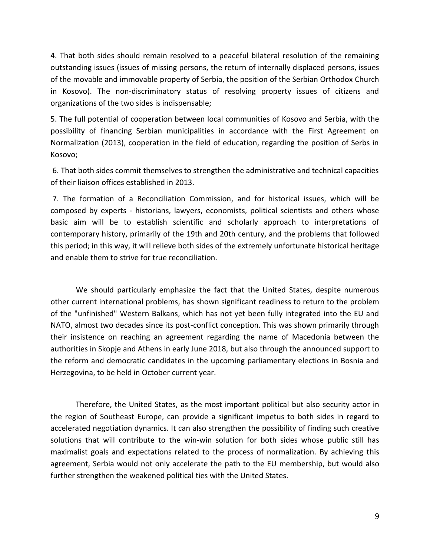4. That both sides should remain resolved to a peaceful bilateral resolution of the remaining outstanding issues (issues of missing persons, the return of internally displaced persons, issues of the movable and immovable property of Serbia, the position of the Serbian Orthodox Church in Kosovo). The non-discriminatory status of resolving property issues of citizens and organizations of the two sides is indispensable;

5. The full potential of cooperation between local communities of Kosovo and Serbia, with the possibility of financing Serbian municipalities in accordance with the First Agreement on Normalization (2013), cooperation in the field of education, regarding the position of Serbs in Kosovo;

6. That both sides commit themselves to strengthen the administrative and technical capacities of their liaison offices established in 2013.

7. The formation of a Reconciliation Commission, and for historical issues, which will be composed by experts - historians, lawyers, economists, political scientists and others whose basic aim will be to establish scientific and scholarly approach to interpretations of contemporary history, primarily of the 19th and 20th century, and the problems that followed this period; in this way, it will relieve both sides of the extremely unfortunate historical heritage and enable them to strive for true reconciliation.

We should particularly emphasize the fact that the United States, despite numerous other current international problems, has shown significant readiness to return to the problem of the "unfinished" Western Balkans, which has not yet been fully integrated into the EU and NATO, almost two decades since its post-conflict conception. This was shown primarily through their insistence on reaching an agreement regarding the name of Macedonia between the authorities in Skopje and Athens in early June 2018, but also through the announced support to the reform and democratic candidates in the upcoming parliamentary elections in Bosnia and Herzegovina, to be held in October current year.

Therefore, the United States, as the most important political but also security actor in the region of Southeast Europe, can provide a significant impetus to both sides in regard to accelerated negotiation dynamics. It can also strengthen the possibility of finding such creative solutions that will contribute to the win-win solution for both sides whose public still has maximalist goals and expectations related to the process of normalization. By achieving this agreement, Serbia would not only accelerate the path to the EU membership, but would also further strengthen the weakened political ties with the United States.